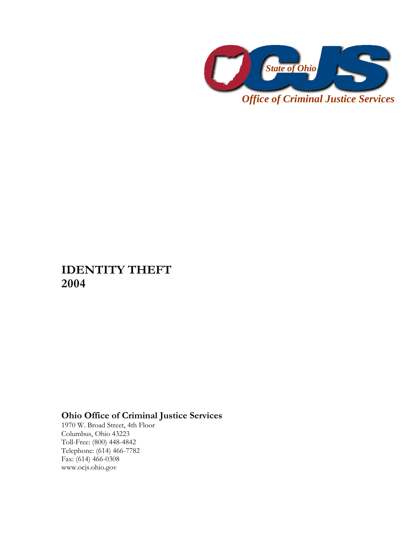

*Office of Criminal Justice Services* 

## **IDENTITY THEFT 2004**

## **Ohio Office of Criminal Justice Services**

1970 W. Broad Street, 4th Floor Columbus, Ohio 43223 Toll-Free: (800) 448-4842 Telephone: (614) 466-7782 Fax: (614) 466-0308 www.ocjs.ohio.gov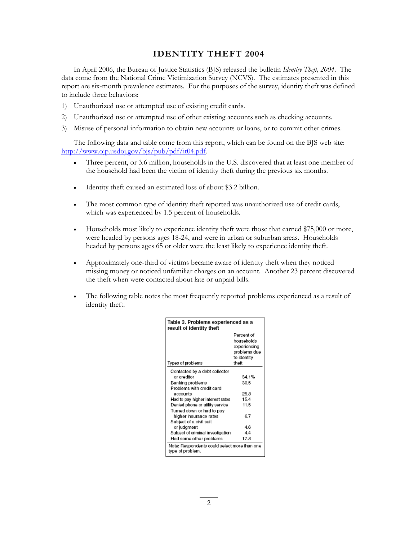## **IDENTITY THEFT 2004**

In April 2006, the Bureau of Justice Statistics (BJS) released the bulletin *Identity Theft, 2004*. The data come from the National Crime Victimization Survey (NCVS). The estimates presented in this report are six-month prevalence estimates. For the purposes of the survey, identity theft was defined to include three behaviors:

- 1) Unauthorized use or attempted use of existing credit cards.
- 2) Unauthorized use or attempted use of other existing accounts such as checking accounts.
- 3) Misuse of personal information to obtain new accounts or loans, or to commit other crimes.

The following data and table come from this report, which can be found on the BJS web site: http://www.ojp.usdoj.gov/bjs/pub/pdf/it04.pdf.

- Three percent, or 3.6 million, households in the U.S. discovered that at least one member of the household had been the victim of identity theft during the previous six months.
- Identity theft caused an estimated loss of about \$3.2 billion.
- The most common type of identity theft reported was unauthorized use of credit cards, which was experienced by 1.5 percent of households.
- Households most likely to experience identity theft were those that earned \$75,000 or more, were headed by persons ages 18-24, and were in urban or suburban areas. Households headed by persons ages 65 or older were the least likely to experience identity theft.
- Approximately one-third of victims became aware of identity theft when they noticed missing money or noticed unfamiliar charges on an account. Another 23 percent discovered the theft when were contacted about late or unpaid bills.
- The following table notes the most frequently reported problems experienced as a result of identity theft.

| Table 3. Problems experienced as a<br>result of identity theft   |                                                                                  |
|------------------------------------------------------------------|----------------------------------------------------------------------------------|
| Types of problems                                                | Percent of<br>households<br>experiencing<br>problems due<br>to identity<br>theft |
|                                                                  |                                                                                  |
| Contacted by a debt collector<br>or creditor                     | 34.1%                                                                            |
| Banking problems                                                 | 30.5                                                                             |
| Problems with credit card                                        |                                                                                  |
| accounts                                                         | 25.8                                                                             |
| Had to pay higher interest rates                                 | 15.4                                                                             |
| Denied phone or utility service                                  | 11.5                                                                             |
| Turned down or had to pay                                        |                                                                                  |
| higher insurance rates                                           | 6.7                                                                              |
| Subject of a civil suit                                          |                                                                                  |
| or judgment                                                      | 4.6                                                                              |
| Subject of criminal investigation                                | 4.4                                                                              |
| Had some other problems                                          | 17.8                                                                             |
| Note: Respondents could select more than one<br>type of problem. |                                                                                  |